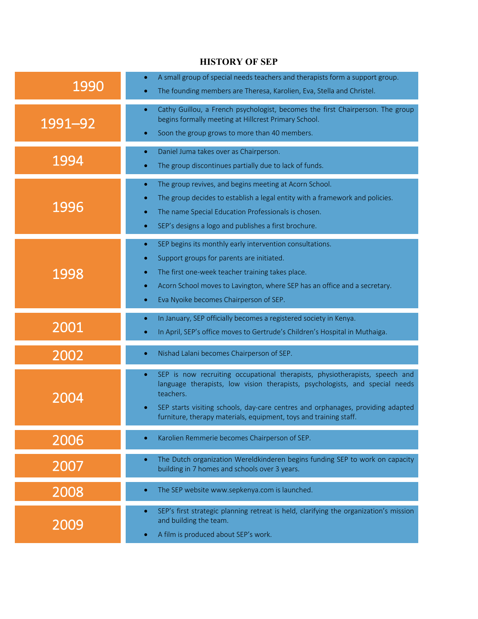## **HISTORY OF SEP**

| 1990    | A small group of special needs teachers and therapists form a support group.<br>$\bullet$<br>The founding members are Theresa, Karolien, Eva, Stella and Christel.<br>$\bullet$                                                                                                                                                                            |
|---------|------------------------------------------------------------------------------------------------------------------------------------------------------------------------------------------------------------------------------------------------------------------------------------------------------------------------------------------------------------|
| 1991-92 | Cathy Guillou, a French psychologist, becomes the first Chairperson. The group<br>$\bullet$<br>begins formally meeting at Hillcrest Primary School.<br>Soon the group grows to more than 40 members.<br>$\bullet$                                                                                                                                          |
| 1994    | Daniel Juma takes over as Chairperson.<br>٠<br>The group discontinues partially due to lack of funds.<br>$\bullet$                                                                                                                                                                                                                                         |
| 1996    | The group revives, and begins meeting at Acorn School.<br>٠<br>The group decides to establish a legal entity with a framework and policies.<br>۰<br>The name Special Education Professionals is chosen.<br>۰<br>SEP's designs a logo and publishes a first brochure.<br>$\bullet$                                                                          |
| 1998    | SEP begins its monthly early intervention consultations.<br>$\bullet$<br>Support groups for parents are initiated.<br>$\bullet$<br>The first one-week teacher training takes place.<br>٠<br>Acorn School moves to Lavington, where SEP has an office and a secretary.<br>$\bullet$<br>Eva Nyoike becomes Chairperson of SEP.<br>$\bullet$                  |
| 2001    | In January, SEP officially becomes a registered society in Kenya.<br>٠<br>In April, SEP's office moves to Gertrude's Children's Hospital in Muthaiga.<br>$\bullet$                                                                                                                                                                                         |
| 2002    | Nishad Lalani becomes Chairperson of SEP.<br>٠                                                                                                                                                                                                                                                                                                             |
| 2004    | SEP is now recruiting occupational therapists, physiotherapists, speech and<br>$\bullet$<br>language therapists, low vision therapists, psychologists, and special needs<br>teachers.<br>SEP starts visiting schools, day-care centres and orphanages, providing adapted<br>$\bullet$<br>furniture, therapy materials, equipment, toys and training staff. |
| 2006    | Karolien Remmerie becomes Chairperson of SEP.<br>$\bullet$                                                                                                                                                                                                                                                                                                 |
| 2007    | The Dutch organization Wereldkinderen begins funding SEP to work on capacity<br>$\bullet$<br>building in 7 homes and schools over 3 years.                                                                                                                                                                                                                 |
| 2008    | The SEP website www.sepkenya.com is launched.<br>$\bullet$                                                                                                                                                                                                                                                                                                 |
| 2009    | SEP's first strategic planning retreat is held, clarifying the organization's mission<br>$\bullet$<br>and building the team.<br>A film is produced about SEP's work.<br>$\bullet$                                                                                                                                                                          |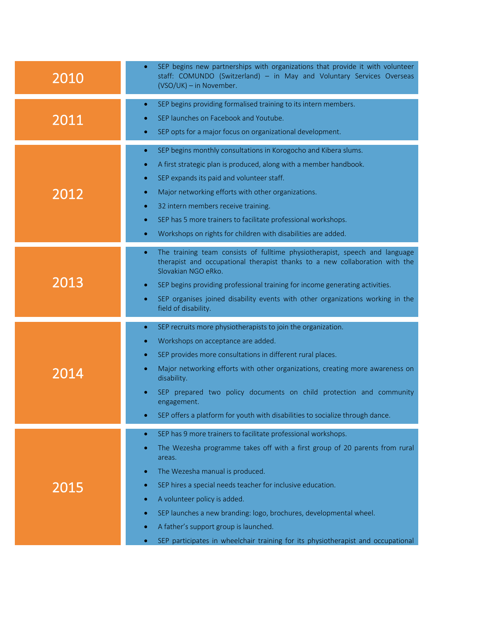| 2010 | SEP begins new partnerships with organizations that provide it with volunteer<br>staff: COMUNDO (Switzerland) - in May and Voluntary Services Overseas<br>(VSO/UK) - in November.                                                                                                                                                                                                                                                                                                                                                                                                  |
|------|------------------------------------------------------------------------------------------------------------------------------------------------------------------------------------------------------------------------------------------------------------------------------------------------------------------------------------------------------------------------------------------------------------------------------------------------------------------------------------------------------------------------------------------------------------------------------------|
| 2011 | SEP begins providing formalised training to its intern members.<br>$\bullet$<br>SEP launches on Facebook and Youtube.<br>SEP opts for a major focus on organizational development.                                                                                                                                                                                                                                                                                                                                                                                                 |
| 2012 | SEP begins monthly consultations in Korogocho and Kibera slums.<br>$\bullet$<br>A first strategic plan is produced, along with a member handbook.<br>$\bullet$<br>SEP expands its paid and volunteer staff.<br>$\bullet$<br>Major networking efforts with other organizations.<br>$\bullet$<br>32 intern members receive training.<br>$\bullet$<br>SEP has 5 more trainers to facilitate professional workshops.<br>$\bullet$<br>Workshops on rights for children with disabilities are added.<br>$\bullet$                                                                        |
| 2013 | The training team consists of fulltime physiotherapist, speech and language<br>$\bullet$<br>therapist and occupational therapist thanks to a new collaboration with the<br>Slovakian NGO eRko.<br>SEP begins providing professional training for income generating activities.<br>SEP organises joined disability events with other organizations working in the<br>$\bullet$<br>field of disability.                                                                                                                                                                              |
| 2014 | SEP recruits more physiotherapists to join the organization.<br>$\bullet$<br>Workshops on acceptance are added.<br>$\bullet$<br>SEP provides more consultations in different rural places.<br>$\bullet$<br>Major networking efforts with other organizations, creating more awareness on<br>disability.<br>SEP prepared two policy documents on child protection and community<br>engagement.<br>SEP offers a platform for youth with disabilities to socialize through dance.                                                                                                     |
| 2015 | SEP has 9 more trainers to facilitate professional workshops.<br>$\bullet$<br>The Wezesha programme takes off with a first group of 20 parents from rural<br>$\bullet$<br>areas.<br>The Wezesha manual is produced.<br>۰<br>SEP hires a special needs teacher for inclusive education.<br>$\bullet$<br>A volunteer policy is added.<br>$\bullet$<br>SEP launches a new branding: logo, brochures, developmental wheel.<br>$\bullet$<br>A father's support group is launched.<br>٠<br>SEP participates in wheelchair training for its physiotherapist and occupational<br>$\bullet$ |